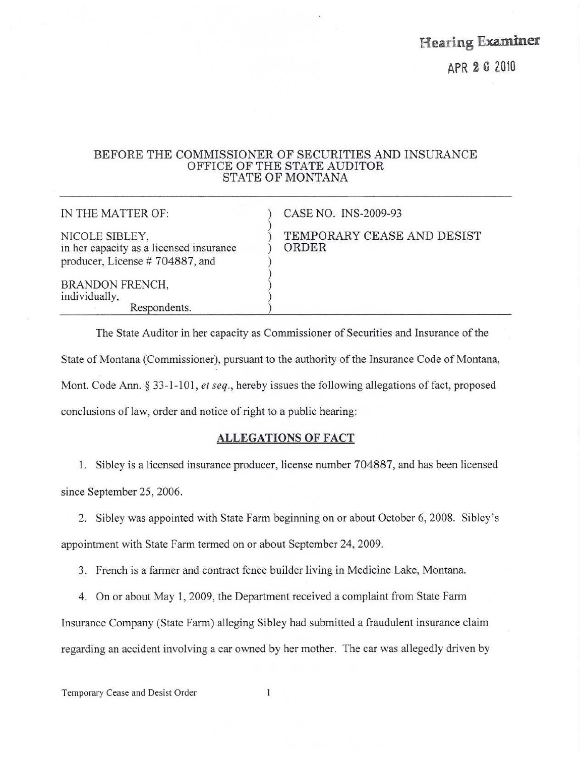Hearing Examiner

APR 2 G 2010

## BEFORE THE COMMISSIONER OF SECURITIES AND INSURANCE OFFICE OF THE STATE AUDITOR STATE OF MONTANA

IN THE MATTER OF: NICOLE SIBLEY, in her capacity as a licensed insurance producer, License # 704887, and BRANDON FRENCH, individually, Respondents. ) CASE NO, INS-2009-93 ) ) TEMPORARY CEASE AND DESIST ) ORDER ) ) ) )

)

The State Auditor in her capacity as Commissioner of Securities and Insurance of the State of Montana (Commissioner), pursuant to the authority of the Insurance Code of Montana, Mont. Code Ann. § 33-1-101, *er seq.,* hereby issues the following allegations of fact, proposed conclusions of law, order and notice of right to a public hearing:

# ALLEGATIONS OF FACT

1. Sibley is a licensed insurance producer, license number 704887, and has been licensed since September 25, 2006.

2. Sibley was appointed with State Farm beginning on or about October 6, 2008. Sibley's appointment with State Farm termed on or about September 24, 2009.

3. French is a farmer and contract fence builder living in Medicine Lake, Montana.

4. On or about May 1, 2009, the Department received a complaint from State Farm Insurance Company (State Farm) alleging Sibley had submitted a fraudulent insurance claim regarding an accident involving a car owned by her mother. The car was allegedly driven by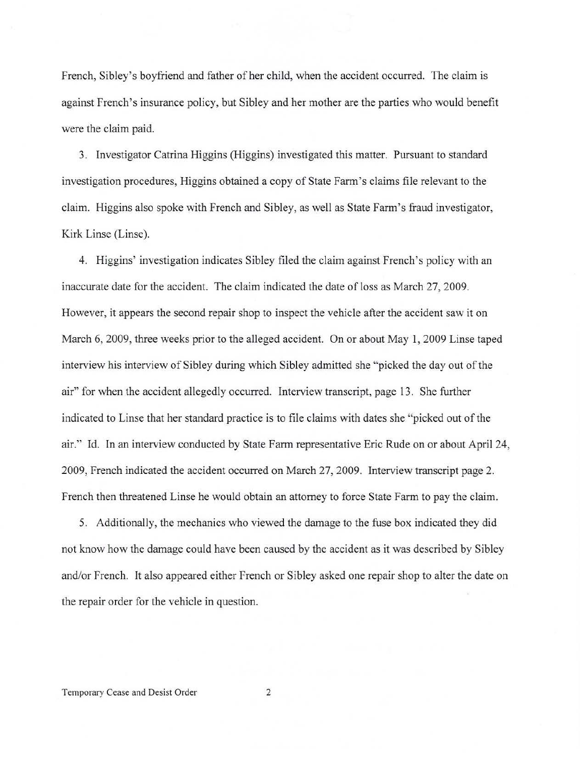French, Sibley's boyfriend and father of her child, when the accident occurred. The claim is against French's insurance policy, but Sibley and her mother are the parties who would benefit were the claim paid.

3. Investigator Catrina Higgins (Higgins) investigated this matter. Pursuant to standard investigation procedures, Higgins obtained a copy of State Farm's claims file relevant to the claim. Higgins also spoke with French and Sibley, as well as State Fann's fraud investigator, Kirk Linse (Linse).

4. Higgins' investigation indicates Sibley filed the claim against French's policy with an inaccurate date for the accident. The claim indicated the date of loss as March 27, 2009. However, it appears the second repair shop to inspect the vehicle after the accident saw it on March 6, 2009, three weeks prior to the alleged accident. On or about May 1, 2009 Linse taped interview his interview of Sibley during which Sibley admitted she "picked the day out of the air" for when the accident allegedly occurred. Interview transcript, page 13. She further indicated to Linse that her standard practice is to file claims with dates she "picked out of the air." Id. In an interview conducted by State Farm representative Eric Rude on or about April 24, 2009, French indicated the accident occurred on March 27, 2009. Interview transcript page 2. French then threatened Linse he would obtain an attorney to force State Fann to pay the claim.

5. Additionally, the mechanics who viewed the damage to the fuse box indicated they did not know how the damage could have been caused by the accident as it was described by Sibley and/or French. It also appeared either French or Sibley asked one repair shop to alter the date on the repair order for the vehicle in question.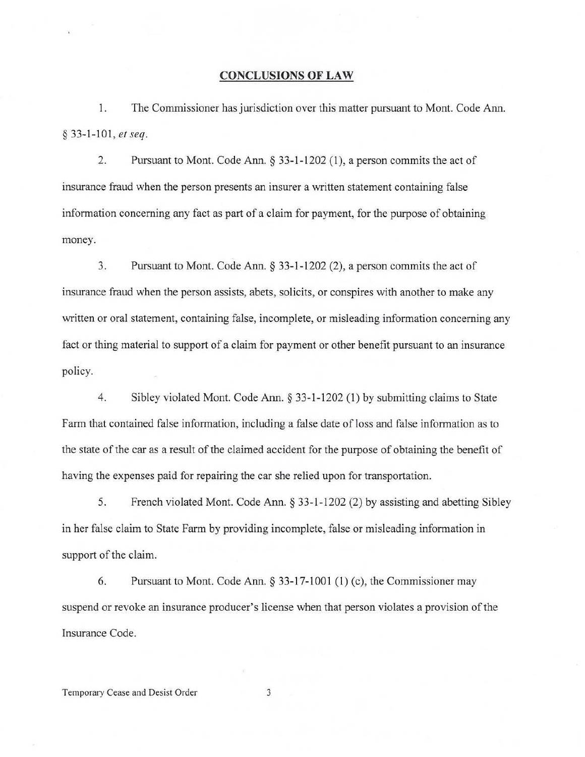#### CONCLUSIONS OF LAW

1. The Commissioner has jurisdiction over this matter pursuant to Mont. Code Ann. § 33·1·101, *et seq.* 

2. Pursuant to Mont. Code Ann. § 33-1-1202 (1), a person commits the act of insurance fraud when the person presents an insurer a written statement containing false information concerning any fact as part of a claim for payment, for the purpose of obtaining money.

3. Pursuant to Mont. Code Ann. § 33-1-1202 (2), a person commits the act of insurance fraud when the person assists, abets, solicits, or conspires with another to make any written or oral statement, containing false, incomplete, or misleading information concerning any fact or thing material to support of a claim for payment or other benefit pursuant to an insurance policy.

4. Sibley violated Mont. Code Ann. § 33·1·1202 (I) by submitting claims to State Farm that contained false information, including a false date of loss and false information as to the state of the car as a result of the claimed accident for the purpose of obtaining the benefit of having the expenses paid for repairing the car she relied upon for transportation.

5. French violated Mont. Code Ann. § 33·1 · 1202 (2) by assisting and abetting Sibley in her false claim to State Farm by providing incomplete, false or misleading information in support of the claim.

6. Pursuant to Mont. Code Ann. § 33-17-1001 (1) (c), the Commissioner may suspend or revoke an insurance producer's license when that person violates a provision of the Insurance Code.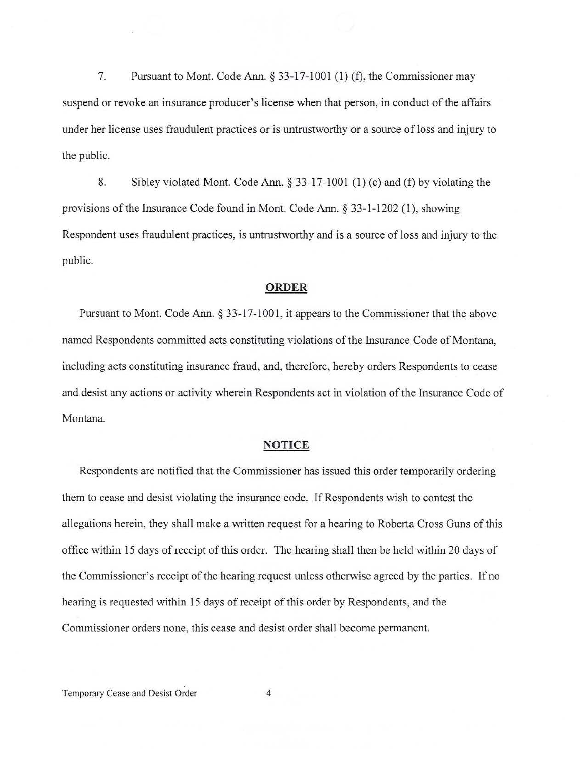7. Pursuant to Mont. Code Ann.  $\S 33-17-1001$  (1) (f), the Commissioner may suspend or revoke an insurance producer's license when that person, in conduct of the affairs under her license uses fraudulent practices or is untrustworthy or a source of loss and injury to the public.

8. Sibley violated Mont. Code Ann.  $\S 33-17-1001$  (1) (c) and (f) by violating the provisions of the Insurance Code found in Mont. Code Ann. § 33-1-1202 (1), showing Respondent uses fraudulent practices, is untrustworthy and is a source ofloss and injury to the public.

### ORDER

Pursuant to Mont. Code Ann. § 33-17-1001, it appears to the Commissioner that the above named Respondents committed acts constituting violations of the Insurance Code of Montana, including acts constituting insurance fraud, and, therefore, hereby orders Respondents to cease and desist any actions or activity wherein Respondents act in violation of the Insurance Code of Montana.

#### NOTICE

Respondents are notified that the Commissioner has issued this order temporarily ordering them to cease and desist violating the insurance code. If Respondents wish to contest the allegations herein, they shall make a written request for a hearing to Roberta Cross Guns of this office within 15 days of receipt of this order. The hearing shall then be held within 20 days of the Commissioner's receipt of the hearing request unless otherwise agreed by the parties. If no hearing is requested within 15 days of receipt of this order by Respondents, and the Commissioner orders none, this cease and desist order shall become pennanent.